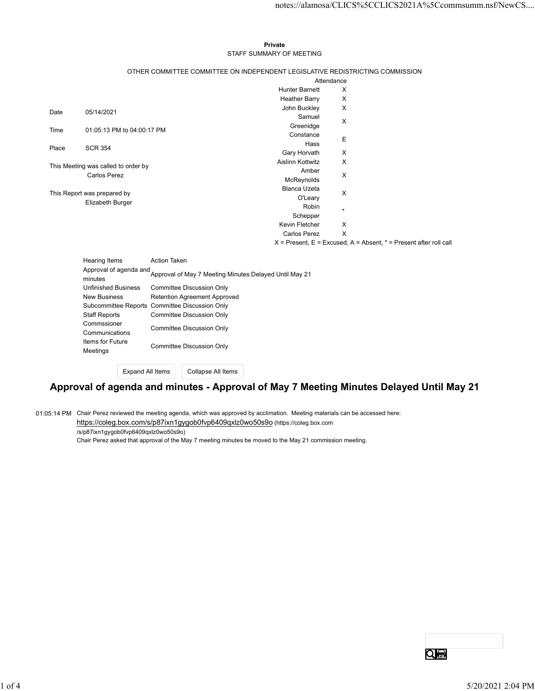#### Private STAFF SUMMARY OF MEETING

|       |                                            |                            |              |                                                                               |                                                                               |              | notes://alamosa/CLICS%5CCLICS2021A%5Ccommsumm.nsf/NewCS                   |
|-------|--------------------------------------------|----------------------------|--------------|-------------------------------------------------------------------------------|-------------------------------------------------------------------------------|--------------|---------------------------------------------------------------------------|
|       |                                            |                            |              |                                                                               |                                                                               |              |                                                                           |
|       |                                            |                            |              |                                                                               |                                                                               |              |                                                                           |
|       |                                            |                            |              |                                                                               | Private                                                                       |              |                                                                           |
|       |                                            |                            |              |                                                                               | STAFF SUMMARY OF MEETING                                                      |              |                                                                           |
|       |                                            |                            |              |                                                                               | OTHER COMMITTEE COMMITTEE ON INDEPENDENT LEGISLATIVE REDISTRICTING COMMISSION |              |                                                                           |
|       |                                            |                            |              |                                                                               |                                                                               | Attendance   |                                                                           |
|       |                                            |                            |              |                                                                               | <b>Hunter Barnett</b>                                                         | X            |                                                                           |
|       |                                            |                            |              |                                                                               | <b>Heather Barry</b><br>John Buckley                                          | X<br>X       |                                                                           |
| Date  | 05/14/2021                                 |                            |              |                                                                               | Samuel                                                                        |              |                                                                           |
| Time  |                                            | 01:05:13 PM to 04:00:17 PM |              |                                                                               | Greenidge                                                                     | X            |                                                                           |
|       |                                            |                            |              |                                                                               | Constance<br>Hass                                                             | Ε            |                                                                           |
| Place | <b>SCR 354</b>                             |                            |              |                                                                               | Gary Horvath                                                                  | X            |                                                                           |
|       | This Meeting was called to order by        |                            |              |                                                                               | Aislinn Kottwitz                                                              | X            |                                                                           |
|       | <b>Carlos Perez</b>                        |                            |              |                                                                               | Amber                                                                         | X            |                                                                           |
|       |                                            |                            |              |                                                                               | McReynolds<br>Blanca Uzeta                                                    |              |                                                                           |
|       | This Report was prepared by                |                            |              |                                                                               | O'Leary                                                                       | X            |                                                                           |
|       | Elizabeth Burger                           |                            |              |                                                                               | Robin                                                                         | $\star$      |                                                                           |
|       |                                            |                            |              |                                                                               | Schepper<br>Kevin Fletcher                                                    | Χ            |                                                                           |
|       |                                            |                            |              |                                                                               | <b>Carlos Perez</b>                                                           | $\mathsf{X}$ |                                                                           |
|       |                                            |                            |              |                                                                               |                                                                               |              | $X =$ Present, $E =$ Excused, $A =$ Absent, $* =$ Present after roll call |
|       | Hearing Items                              |                            | Action Taken |                                                                               |                                                                               |              |                                                                           |
|       |                                            |                            |              | Approval of agenda and Approval of May 7 Meeting Minutes Delayed Until May 21 |                                                                               |              |                                                                           |
|       |                                            |                            |              |                                                                               |                                                                               |              |                                                                           |
|       | <b>Unfinished Business</b><br>New Business |                            |              | <b>Committee Discussion Only</b><br>Retention Agreement Approved              |                                                                               |              |                                                                           |
|       |                                            |                            |              | Subcommittee Reports Committee Discussion Only                                |                                                                               |              |                                                                           |
|       | <b>Staff Reports</b>                       |                            |              | <b>Committee Discussion Only</b>                                              |                                                                               |              |                                                                           |
|       | Commssioner<br>Communications              |                            |              | <b>Committee Discussion Only</b>                                              |                                                                               |              |                                                                           |
|       | Items for Future                           |                            |              |                                                                               |                                                                               |              |                                                                           |
|       | Meetings                                   |                            |              | <b>Committee Discussion Only</b>                                              |                                                                               |              |                                                                           |
|       |                                            | <b>Expand All Items</b>    |              | Collapse All Items                                                            |                                                                               |              |                                                                           |
|       |                                            |                            |              |                                                                               |                                                                               |              |                                                                           |

# Approval of agenda and minutes - Approval of May 7 Meeting Minutes Delayed Until May 21

01:05:14 PM Chair Perez reviewed the meeting agenda, which was approved by acclimation. Meeting materials can be accessed here: https://coleg.box.com/s/p87ixn1gygob0fvp6409qxlz0wo50s9o (https://coleg.box.com

/s/p87ixn1gygob0fvp6409qxlz0wo50s9o)

Chair Perez asked that approval of the May 7 meeting minutes be moved to the May 21 commission meeting.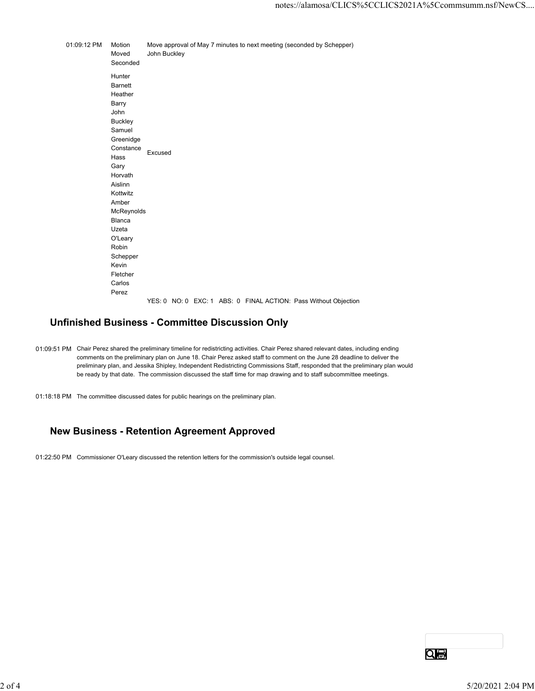notes://alamosa/CLICS%5CCLICS2021A%5Ccc<br>
01:09:12 PM Motion Move approval of May 7 minutes to next meeting (seconded by Schepper)<br>
Moved John Buckley<br>
Seconded<br>
Hunter<br>
Barnett<br>
Heather notes://alamosa/CLICS%5CCLICS2021A%5<br>Motion Move approval of May 7 minutes to next meeting (seconded by Schepper)<br>Moved John Buckley<br>Seconded<br>Hunter<br>Barnett<br>Heather<br>Barry Seconded Hunter Barnett Heather Barry John **Buckley** Samuel Greenidge Constance<br>
Excused <u>Excused</u><br>Hass Excused Gary **Gary Gary Gary Gary Gary** Horvath Aislinn Kottwitz Amber McReynolds Blanca Uzeta O'Leary Robin **Robin Robin Robin Robin Robin** Schepper Kevin Fletcher Carlos Perez YES: 0 NO: 0 EXC: 1 ABS: 0 FINAL ACTION: Pass Without Objection

#### Unfinished Business - Committee Discussion Only

- 01:09:51 PM Chair Perez shared the preliminary timeline for redistricting activities. Chair Perez shared relevant dates, including ending comments on the preliminary plan on June 18. Chair Perez asked staff to comment on the June 28 deadline to deliver the preliminary plan, and Jessika Shipley, Independent Redistricting Commissions Staff, responded that the preliminary plan would be ready by that date. The commission discussed the staff time for map drawing and to staff subcommittee meetings.
- 01:18:18 PM The committee discussed dates for public hearings on the preliminary plan.

## New Business - Retention Agreement Approved

01:22:50 PM Commissioner O'Leary discussed the retention letters for the commission's outside legal counsel.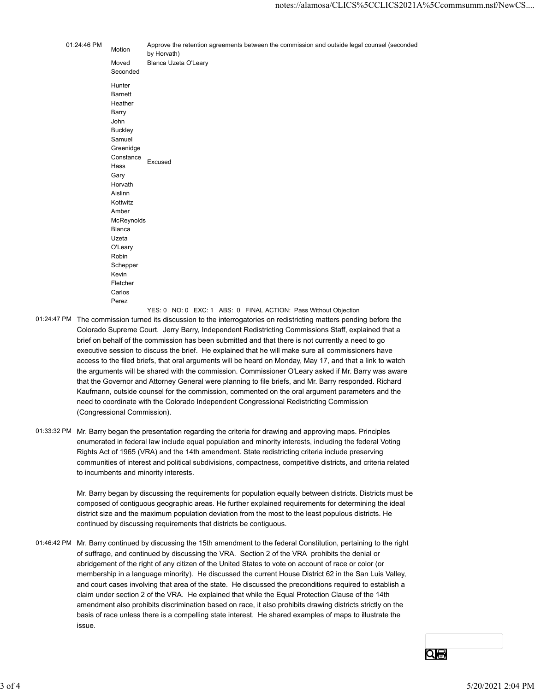|             |                     | notes://alamosa/CLICS%5CCLICS2021A%5Ccommsumm.nsf/NewCS                                                    |
|-------------|---------------------|------------------------------------------------------------------------------------------------------------|
|             |                     |                                                                                                            |
|             |                     |                                                                                                            |
| 01:24:46 PM | Motion              | Approve the retention agreements between the commission and outside legal counsel (seconded<br>by Horvath) |
|             | Moved<br>Seconded   | Blanca Uzeta O'Leary                                                                                       |
|             | Hunter              |                                                                                                            |
|             | <b>Barnett</b>      |                                                                                                            |
|             | Heather             |                                                                                                            |
|             | Barry<br>John       |                                                                                                            |
|             | <b>Buckley</b>      |                                                                                                            |
|             | Samuel              |                                                                                                            |
|             | Greenidge           |                                                                                                            |
|             | Constance           | Excused                                                                                                    |
|             | Hass                |                                                                                                            |
|             | Gary                |                                                                                                            |
|             | Horvath             |                                                                                                            |
|             | Aislinn<br>Kottwitz |                                                                                                            |
|             | Amber               |                                                                                                            |
|             | McReynolds          |                                                                                                            |
|             | Blanca              |                                                                                                            |
|             | Uzeta               |                                                                                                            |
|             | O'Leary             |                                                                                                            |
|             | Robin               |                                                                                                            |
|             | Schepper            |                                                                                                            |
|             | Kevin               |                                                                                                            |
|             | Fletcher            |                                                                                                            |
|             | Carlos              |                                                                                                            |
|             | Perez               |                                                                                                            |

YES: 0 NO: 0 EXC: 1 ABS: 0 FINAL ACTION: Pass Without Objection

- 01:24:47 PM The commission turned its discussion to the interrogatories on redistricting matters pending before the Colorado Supreme Court. Jerry Barry, Independent Redistricting Commissions Staff, explained that a brief on behalf of the commission has been submitted and that there is not currently a need to go executive session to discuss the brief. He explained that he will make sure all commissioners have access to the filed briefs, that oral arguments will be heard on Monday, May 17, and that a link to watch the arguments will be shared with the commission. Commissioner O'Leary asked if Mr. Barry was aware that the Governor and Attorney General were planning to file briefs, and Mr. Barry responded. Richard Kaufmann, outside counsel for the commission, commented on the oral argument parameters and the need to coordinate with the Colorado Independent Congressional Redistricting Commission (Congressional Commission).
- 01:33:32 PM Mr. Barry began the presentation regarding the criteria for drawing and approving maps. Principles enumerated in federal law include equal population and minority interests, including the federal Voting Rights Act of 1965 (VRA) and the 14th amendment. State redistricting criteria include preserving communities of interest and political subdivisions, compactness, competitive districts, and criteria related to incumbents and minority interests.

Mr. Barry began by discussing the requirements for population equally between districts. Districts must be composed of contiguous geographic areas. He further explained requirements for determining the ideal district size and the maximum population deviation from the most to the least populous districts. He continued by discussing requirements that districts be contiguous.

01:46:42 PM Mr. Barry continued by discussing the 15th amendment to the federal Constitution, pertaining to the right of suffrage, and continued by discussing the VRA. Section 2 of the VRA prohibits the denial or abridgement of the right of any citizen of the United States to vote on account of race or color (or membership in a language minority). He discussed the current House District 62 in the San Luis Valley, and court cases involving that area of the state. He discussed the preconditions required to establish a claim under section 2 of the VRA. He explained that while the Equal Protection Clause of the 14th amendment also prohibits discrimination based on race, it also prohibits drawing districts strictly on the basis of race unless there is a compelling state interest. He shared examples of maps to illustrate the issue. communities of interest and politicals subdivisions, compactness, competitive districts, and criteria related<br>to incurribents and minority interests.<br>Mr. Barry began by discussing the requirements for population equally be